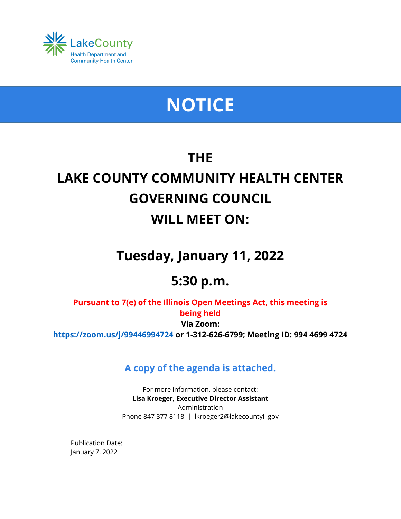

# **NOTICE**

## **THE LAKE COUNTY COMMUNITY HEALTH CENTER GOVERNING COUNCIL WILL MEET ON:**

## **Tuesday, January 11, 2022**

### **5:30 p.m.**

**Pursuant to 7(e) of the Illinois Open Meetings Act, this meeting is being held Via Zoom: <https://zoom.us/j/99446994724> or 1-312-626-6799; Meeting ID: 994 4699 4724**

**A copy of the agenda is attached.**

For more information, please contact: **Lisa Kroeger, Executive Director Assistant** Administration Phone 847 377 8118 | lkroeger2@lakecountyil.gov

Publication Date: January 7, 2022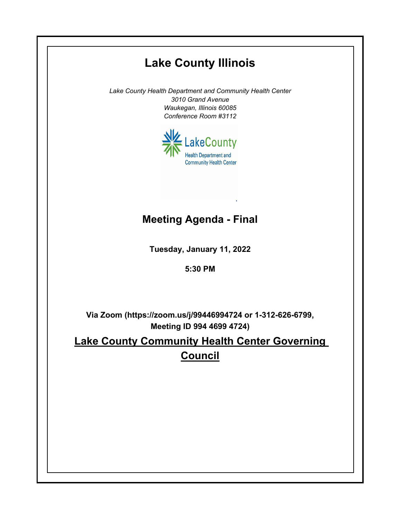# **Lake County Illinois** *Lake County Health Department and Community Health Center 3010 Grand Avenue Waukegan, Illinois 60085 Conference Room #3112* LakeCounty **Health Department and Community Health Center Meeting Agenda - FinalTuesday, January 11, 2022 5:30 PM Via Zoom (https://zoom.us/j/99446994724 or 1-312-626-6799, Meeting ID 994 4699 4724) Lake County Community Health Center Governing Council**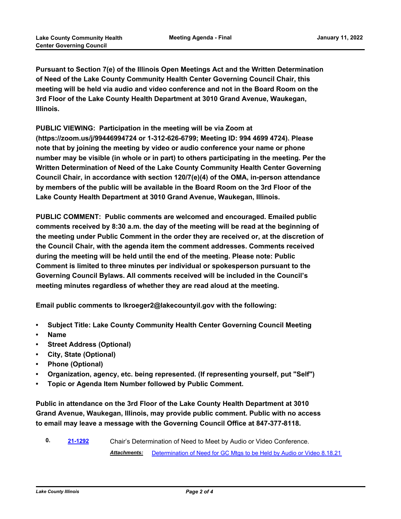**Pursuant to Section 7(e) of the Illinois Open Meetings Act and the Written Determination of Need of the Lake County Community Health Center Governing Council Chair, this meeting will be held via audio and video conference and not in the Board Room on the 3rd Floor of the Lake County Health Department at 3010 Grand Avenue, Waukegan, Illinois.**

**PUBLIC VIEWING: Participation in the meeting will be via Zoom at (https://zoom.us/j/99446994724 or 1-312-626-6799; Meeting ID: 994 4699 4724). Please note that by joining the meeting by video or audio conference your name or phone number may be visible (in whole or in part) to others participating in the meeting. Per the Written Determination of Need of the Lake County Community Health Center Governing Council Chair, in accordance with section 120/7(e)(4) of the OMA, in-person attendance by members of the public will be available in the Board Room on the 3rd Floor of the Lake County Health Department at 3010 Grand Avenue, Waukegan, Illinois.**

**PUBLIC COMMENT: Public comments are welcomed and encouraged. Emailed public comments received by 8:30 a.m. the day of the meeting will be read at the beginning of the meeting under Public Comment in the order they are received or, at the discretion of the Council Chair, with the agenda item the comment addresses. Comments received during the meeting will be held until the end of the meeting. Please note: Public Comment is limited to three minutes per individual or spokesperson pursuant to the Governing Council Bylaws. All comments received will be included in the Council's meeting minutes regardless of whether they are read aloud at the meeting.**

**Email public comments to lkroeger2@lakecountyil.gov with the following:**

- **• Subject Title: Lake County Community Health Center Governing Council Meeting**
- **• Name**
- **• Street Address (Optional)**
- **• City, State (Optional)**
- **• Phone (Optional)**
- **• Organization, agency, etc. being represented. (If representing yourself, put "Self")**
- **• Topic or Agenda Item Number followed by Public Comment.**

**Public in attendance on the 3rd Floor of the Lake County Health Department at 3010 Grand Avenue, Waukegan, Illinois, may provide public comment. Public with no access to email may leave a message with the Governing Council Office at 847-377-8118.**

**0. [21-1292](http://lakecounty.legistar.com/gateway.aspx?m=l&id=/matter.aspx?key=22062)** Chair's Determination of Need to Meet by Audio or Video Conference. *Attachments:* [Determination of Need for GC Mtgs to be Held by Audio or Video 8.18.21](http://lakecounty.legistar.com/gateway.aspx?M=F&ID=66a463c2-8070-4a8f-b91d-e59a7bfaf09b.pdf)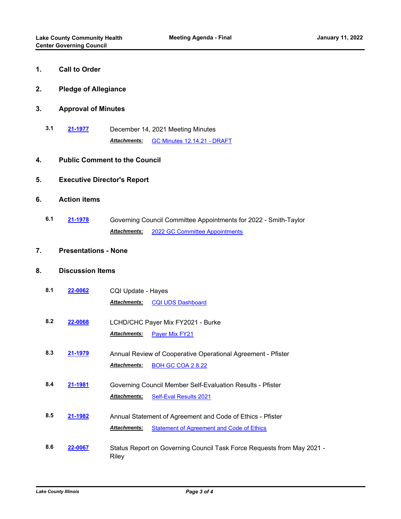| 1. |  | <b>Call to Order</b> |
|----|--|----------------------|
|    |  |                      |

- **2. Pledge of Allegiance**
- **3. Approval of Minutes**
	- **3.1 [21-1977](http://lakecounty.legistar.com/gateway.aspx?m=l&id=/matter.aspx?key=25752)** December 14, 2021 Meeting Minutes *Attachments:* [GC Minutes 12.14.21 - DRAFT](http://lakecounty.legistar.com/gateway.aspx?M=F&ID=6266f8b3-113b-4a6a-8611-64c24561b1a5.pdf)

#### **4. Public Comment to the Council**

#### **5. Executive Director's Report**

#### **6. Action items**

**6.1 [21-1978](http://lakecounty.legistar.com/gateway.aspx?m=l&id=/matter.aspx?key=25753)** Governing Council Committee Appointments for 2022 - Smith-Taylor *Attachments:* [2022 GC Committee Appointments](http://lakecounty.legistar.com/gateway.aspx?M=F&ID=7dab885a-8d6a-40d8-a277-4fdd5a2e947b.pdf)

#### **7. Presentations - None**

#### **8. Discussion Items**

| 8.1 | 22-0062 | CQI Update - Hayes                                                              |                                                              |  |  |
|-----|---------|---------------------------------------------------------------------------------|--------------------------------------------------------------|--|--|
|     |         | <b>Attachments:</b>                                                             | <b>CQI UDS Dashboard</b>                                     |  |  |
| 8.2 | 22-0068 | LCHD/CHC Payer Mix FY2021 - Burke                                               |                                                              |  |  |
|     |         | Attachments:                                                                    | Payer Mix FY21                                               |  |  |
| 8.3 | 21-1979 |                                                                                 | Annual Review of Cooperative Operational Agreement - Pfister |  |  |
|     |         | <b>Attachments:</b>                                                             | <b>BOH GC COA 2.8.22</b>                                     |  |  |
| 8.4 | 21-1981 | Governing Council Member Self-Evaluation Results - Pfister                      |                                                              |  |  |
|     |         | <b>Attachments:</b>                                                             | <b>Self-Eval Results 2021</b>                                |  |  |
| 8.5 | 21-1982 |                                                                                 | Annual Statement of Agreement and Code of Ethics - Pfister   |  |  |
|     |         | <b>Attachments:</b>                                                             | <b>Statement of Agreement and Code of Ethics</b>             |  |  |
| 8.6 | 22-0067 | Status Report on Governing Council Task Force Requests from May 2021 -<br>Riley |                                                              |  |  |